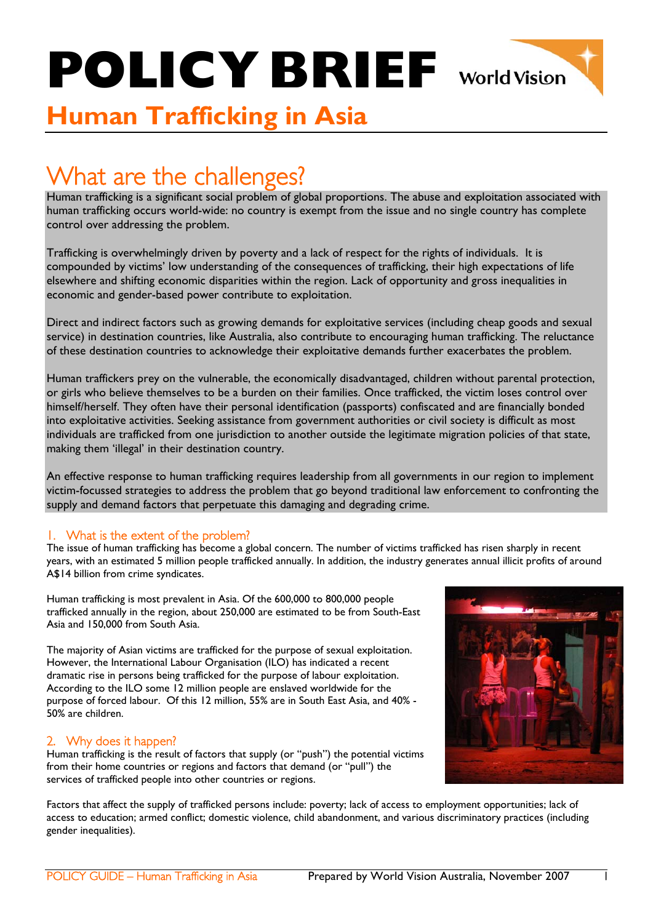**POLICY BRIEF** 



# **Human Trafficking in Asia**

## What are the challenges?

Human trafficking is a significant social problem of global proportions. The abuse and exploitation associated with human trafficking occurs world-wide: no country is exempt from the issue and no single country has complete control over addressing the problem.

Trafficking is overwhelmingly driven by poverty and a lack of respect for the rights of individuals. It is compounded by victims' low understanding of the consequences of trafficking, their high expectations of life elsewhere and shifting economic disparities within the region. Lack of opportunity and gross inequalities in economic and gender-based power contribute to exploitation.

Direct and indirect factors such as growing demands for exploitative services (including cheap goods and sexual service) in destination countries, like Australia, also contribute to encouraging human trafficking. The reluctance of these destination countries to acknowledge their exploitative demands further exacerbates the problem.

Human traffickers prey on the vulnerable, the economically disadvantaged, children without parental protection, or girls who believe themselves to be a burden on their families. Once trafficked, the victim loses control over himself/herself. They often have their personal identification (passports) confiscated and are financially bonded into exploitative activities. Seeking assistance from government authorities or civil society is difficult as most individuals are trafficked from one jurisdiction to another outside the legitimate migration policies of that state, making them 'illegal' in their destination country.

An effective response to human trafficking requires leadership from all governments in our region to implement victim-focussed strategies to address the problem that go beyond traditional law enforcement to confronting the supply and demand factors that perpetuate this damaging and degrading crime.

### 1. What is the extent of the problem?

The issue of human trafficking has become a global concern. The number of victims trafficked has risen sharply in recent years, with an estimated 5 million people trafficked annually. In addition, the industry generates annual illicit profits of around A\$14 billion from crime syndicates.

Human trafficking is most prevalent in Asia. Of the 600,000 to 800,000 people trafficked annually in the region, about 250,000 are estimated to be from South-East Asia and 150,000 from South Asia.

The majority of Asian victims are trafficked for the purpose of sexual exploitation. However, the International Labour Organisation (ILO) has indicated a recent dramatic rise in persons being trafficked for the purpose of labour exploitation. According to the ILO some 12 million people are enslaved worldwide for the purpose of forced labour. Of this 12 million, 55% are in South East Asia, and 40% - 50% are children.

### 2. Why does it happen?

Human trafficking is the result of factors that supply (or "push") the potential victims from their home countries or regions and factors that demand (or "pull") the services of trafficked people into other countries or regions.

Factors that affect the supply of trafficked persons include: poverty; lack of access to employment opportunities; lack of access to education; armed conflict; domestic violence, child abandonment, and various discriminatory practices (including gender inequalities).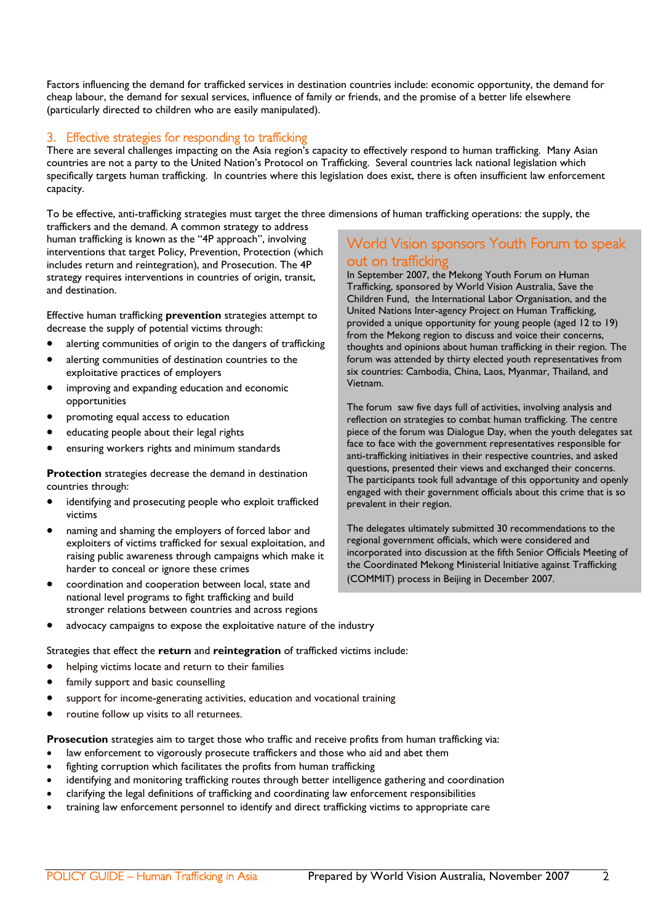Factors influencing the demand for trafficked services in destination countries include: economic opportunity, the demand for cheap labour, the demand for sexual services, influence of family or friends, and the promise of a better life elsewhere (particularly directed to children who are easily manipulated).

#### 3. Effective strategies for responding to trafficking

There are several challenges impacting on the Asia region's capacity to effectively respond to human trafficking. Many Asian countries are not a party to the United Nation's Protocol on Trafficking. Several countries lack national legislation which specifically targets human trafficking. In countries where this legislation does exist, there is often insufficient law enforcement capacity.

To be effective, anti-trafficking strategies must target the three dimensions of human trafficking operations: the supply, the

traffickers and the demand. A common strategy to address human trafficking is known as the "4P approach", involving interventions that target Policy, Prevention, Protection (which includes return and reintegration), and Prosecution. The 4P strategy requires interventions in countries of origin, transit, and destination.

Effective human trafficking **prevention** strategies attempt to decrease the supply of potential victims through:

- alerting communities of origin to the dangers of trafficking
- alerting communities of destination countries to the exploitative practices of employers
- improving and expanding education and economic opportunities
- promoting equal access to education
- educating people about their legal rights
- ensuring workers rights and minimum standards

**Protection** strategies decrease the demand in destination countries through:

- identifying and prosecuting people who exploit trafficked victims
- naming and shaming the employers of forced labor and exploiters of victims trafficked for sexual exploitation, and raising public awareness through campaigns which make it harder to conceal or ignore these crimes
- coordination and cooperation between local, state and national level programs to fight trafficking and build stronger relations between countries and across regions

## World Vision sponsors Youth Forum to speak out on trafficking

In September 2007, the Mekong Youth Forum on Human Trafficking, sponsored by World Vision Australia, Save the Children Fund, the International Labor Organisation, and the United Nations Inter-agency Project on Human Trafficking, provided a unique opportunity for young people (aged 12 to 19) from the Mekong region to discuss and voice their concerns, thoughts and opinions about human trafficking in their region. The forum was attended by thirty elected youth representatives from six countries: Cambodia, China, Laos, Myanmar, Thailand, and Vietnam.

The forum saw five days full of activities, involving analysis and reflection on strategies to combat human trafficking. The centre piece of the forum was Dialogue Day, when the youth delegates sat face to face with the government representatives responsible for anti-trafficking initiatives in their respective countries, and asked questions, presented their views and exchanged their concerns. The participants took full advantage of this opportunity and openly engaged with their government officials about this crime that is so prevalent in their region.

The delegates ultimately submitted 30 recommendations to the regional government officials, which were considered and incorporated into discussion at the fifth Senior Officials Meeting of the Coordinated Mekong Ministerial Initiative against Trafficking (COMMIT) process in Beijing in December 2007.

advocacy campaigns to expose the exploitative nature of the industry

Strategies that effect the **return** and **reintegration** of trafficked victims include:

- helping victims locate and return to their families
- family support and basic counselling
- support for income-generating activities, education and vocational training
- routine follow up visits to all returnees.

**Prosecution** strategies aim to target those who traffic and receive profits from human trafficking via:

- law enforcement to vigorously prosecute traffickers and those who aid and abet them
- fighting corruption which facilitates the profits from human trafficking
- identifying and monitoring trafficking routes through better intelligence gathering and coordination
- clarifying the legal definitions of trafficking and coordinating law enforcement responsibilities
- training law enforcement personnel to identify and direct trafficking victims to appropriate care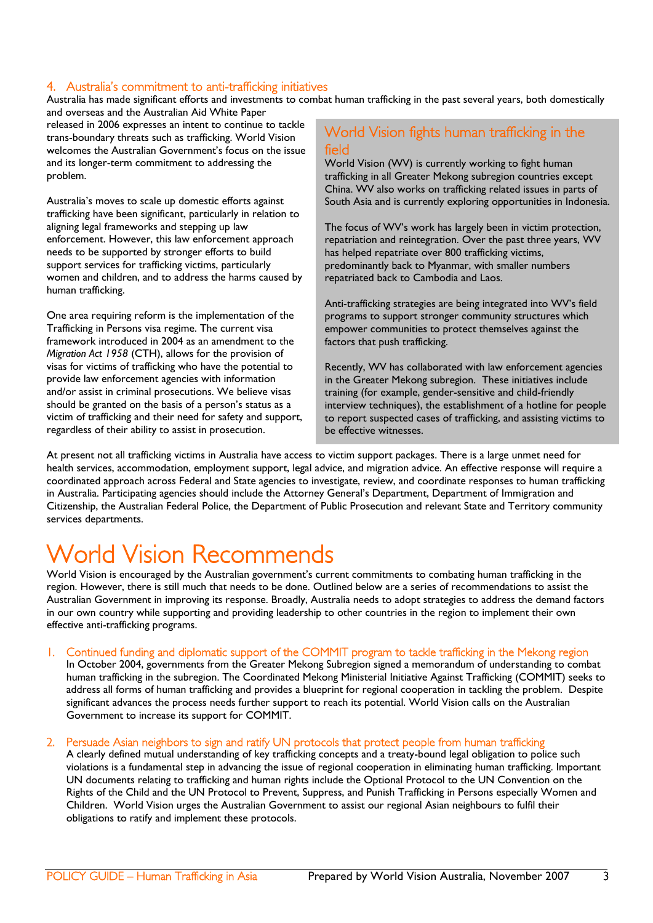## 4. Australia's commitment to anti-trafficking initiatives

Australia has made significant efforts and investments to combat human trafficking in the past several years, both domestically and overseas and the Australian Aid White Paper

released in 2006 expresses an intent to continue to tackle trans-boundary threats such as trafficking. World Vision welcomes the Australian Government's focus on the issue and its longer-term commitment to addressing the problem.

Australia's moves to scale up domestic efforts against trafficking have been significant, particularly in relation to aligning legal frameworks and stepping up law enforcement. However, this law enforcement approach needs to be supported by stronger efforts to build support services for trafficking victims, particularly women and children, and to address the harms caused by human trafficking.

One area requiring reform is the implementation of the Trafficking in Persons visa regime. The current visa framework introduced in 2004 as an amendment to the *Migration Act 1958* (CTH), allows for the provision of visas for victims of trafficking who have the potential to provide law enforcement agencies with information and/or assist in criminal prosecutions. We believe visas should be granted on the basis of a person's status as a victim of trafficking and their need for safety and support, regardless of their ability to assist in prosecution.

## World Vision fights human trafficking in the field

World Vision (WV) is currently working to fight human trafficking in all Greater Mekong subregion countries except China. WV also works on trafficking related issues in parts of South Asia and is currently exploring opportunities in Indonesia.

The focus of WV's work has largely been in victim protection, repatriation and reintegration. Over the past three years, WV has helped repatriate over 800 trafficking victims, predominantly back to Myanmar, with smaller numbers repatriated back to Cambodia and Laos.

Anti-trafficking strategies are being integrated into WV's field programs to support stronger community structures which empower communities to protect themselves against the factors that push trafficking.

Recently, WV has collaborated with law enforcement agencies in the Greater Mekong subregion. These initiatives include training (for example, gender-sensitive and child-friendly interview techniques), the establishment of a hotline for people to report suspected cases of trafficking, and assisting victims to be effective witnesses.

At present not all trafficking victims in Australia have access to victim support packages. There is a large unmet need for health services, accommodation, employment support, legal advice, and migration advice. An effective response will require a coordinated approach across Federal and State agencies to investigate, review, and coordinate responses to human trafficking in Australia. Participating agencies should include the Attorney General's Department, Department of Immigration and Citizenship, the Australian Federal Police, the Department of Public Prosecution and relevant State and Territory community services departments.

# World Vision Recommends

World Vision is encouraged by the Australian government's current commitments to combating human trafficking in the region. However, there is still much that needs to be done. Outlined below are a series of recommendations to assist the Australian Government in improving its response. Broadly, Australia needs to adopt strategies to address the demand factors in our own country while supporting and providing leadership to other countries in the region to implement their own effective anti-trafficking programs.

#### 1. Continued funding and diplomatic support of the COMMIT program to tackle trafficking in the Mekong region

In October 2004, governments from the Greater Mekong Subregion signed a memorandum of understanding to combat human trafficking in the subregion. The Coordinated Mekong Ministerial Initiative Against Trafficking (COMMIT) seeks to address all forms of human trafficking and provides a blueprint for regional cooperation in tackling the problem. Despite significant advances the process needs further support to reach its potential. World Vision calls on the Australian Government to increase its support for COMMIT.

#### 2. Persuade Asian neighbors to sign and ratify UN protocols that protect people from human trafficking

A clearly defined mutual understanding of key trafficking concepts and a treaty-bound legal obligation to police such violations is a fundamental step in advancing the issue of regional cooperation in eliminating human trafficking. Important UN documents relating to trafficking and human rights include the Optional Protocol to the UN Convention on the Rights of the Child and the UN Protocol to Prevent, Suppress, and Punish Trafficking in Persons especially Women and Children. World Vision urges the Australian Government to assist our regional Asian neighbours to fulfil their obligations to ratify and implement these protocols.